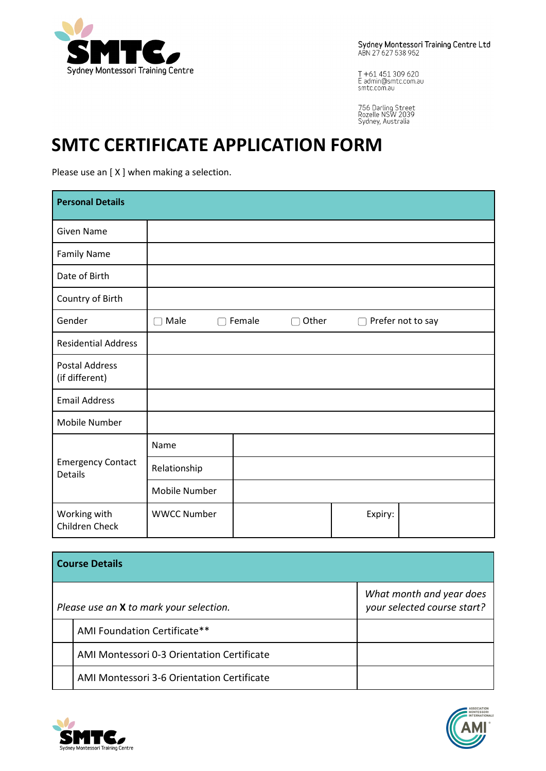

Sydney Montessori Training Centre Ltd<br>ABN 27627538952

T +61 451 309 620<br>E admin@smtc.com.au<br>smtc.com.au

756 Darling Street<br>Rozelle NSW 2039<br>Sydney, Australia

# **SMTC CERTIFICATE APPLICATION FORM**

Please use an [X] when making a selection.

| <b>Personal Details</b>                    |                    |                 |         |                   |
|--------------------------------------------|--------------------|-----------------|---------|-------------------|
| <b>Given Name</b>                          |                    |                 |         |                   |
| <b>Family Name</b>                         |                    |                 |         |                   |
| Date of Birth                              |                    |                 |         |                   |
| Country of Birth                           |                    |                 |         |                   |
| Gender                                     | $\Box$ Male        | Other<br>Female | ∩       | Prefer not to say |
| <b>Residential Address</b>                 |                    |                 |         |                   |
| <b>Postal Address</b><br>(if different)    |                    |                 |         |                   |
| <b>Email Address</b>                       |                    |                 |         |                   |
| Mobile Number                              |                    |                 |         |                   |
|                                            | Name               |                 |         |                   |
| <b>Emergency Contact</b><br><b>Details</b> | Relationship       |                 |         |                   |
|                                            | Mobile Number      |                 |         |                   |
| Working with<br>Children Check             | <b>WWCC Number</b> |                 | Expiry: |                   |

| <b>Course Details</b> |                                            |                                                         |  |  |
|-----------------------|--------------------------------------------|---------------------------------------------------------|--|--|
|                       | Please use an X to mark your selection.    | What month and year does<br>your selected course start? |  |  |
|                       | AMI Foundation Certificate**               |                                                         |  |  |
|                       | AMI Montessori 0-3 Orientation Certificate |                                                         |  |  |
|                       | AMI Montessori 3-6 Orientation Certificate |                                                         |  |  |



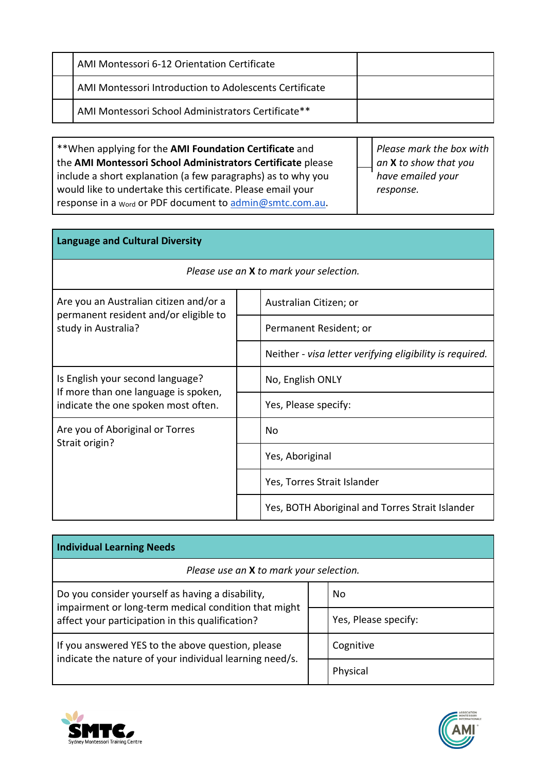|  | AMI Montessori 6-12 Orientation Certificate            |  |
|--|--------------------------------------------------------|--|
|  | AMI Montessori Introduction to Adolescents Certificate |  |
|  | AMI Montessori School Administrators Certificate**     |  |

\*\*When applying for the **AMI Foundation Certificate** and the **AMI Montessori School Administrators Certificate** please include a short explanation (a few paragraphs) as to why you would like to undertake this certificate. Please email your response in a <sub>Word</sub> or PDF document to [admin@smtc.com.au.](mailto:admin@smtc.com.au)

*Please mark the box with an* **X** *to show that you have emailed your response.*

| <b>Language and Cultural Diversity</b>                                          |                                                          |  |  |  |  |
|---------------------------------------------------------------------------------|----------------------------------------------------------|--|--|--|--|
| Please use an <b>X</b> to mark your selection.                                  |                                                          |  |  |  |  |
| Are you an Australian citizen and/or a<br>permanent resident and/or eligible to | Australian Citizen; or                                   |  |  |  |  |
| study in Australia?                                                             | Permanent Resident; or                                   |  |  |  |  |
|                                                                                 | Neither - visa letter verifying eligibility is required. |  |  |  |  |
| Is English your second language?<br>If more than one language is spoken,        | No, English ONLY                                         |  |  |  |  |
| indicate the one spoken most often.                                             | Yes, Please specify:                                     |  |  |  |  |
| Are you of Aboriginal or Torres<br>Strait origin?                               | Nο                                                       |  |  |  |  |
|                                                                                 | Yes, Aboriginal                                          |  |  |  |  |
|                                                                                 | Yes, Torres Strait Islander                              |  |  |  |  |
|                                                                                 | Yes, BOTH Aboriginal and Torres Strait Islander          |  |  |  |  |

| Individual Learning Needs                                                                                                                                    |  |                      |  |  |
|--------------------------------------------------------------------------------------------------------------------------------------------------------------|--|----------------------|--|--|
| Please use an X to mark your selection.                                                                                                                      |  |                      |  |  |
| Do you consider yourself as having a disability,<br>impairment or long-term medical condition that might<br>affect your participation in this qualification? |  | No                   |  |  |
|                                                                                                                                                              |  | Yes, Please specify: |  |  |
| If you answered YES to the above question, please<br>indicate the nature of your individual learning need/s.                                                 |  | Cognitive            |  |  |
|                                                                                                                                                              |  | Physical             |  |  |



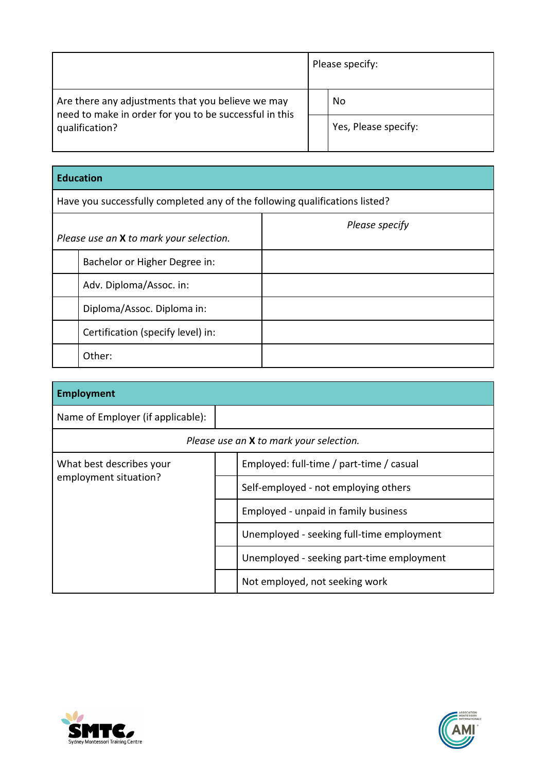|                                                                          |  | Please specify:      |
|--------------------------------------------------------------------------|--|----------------------|
| Are there any adjustments that you believe we may                        |  | No                   |
| need to make in order for you to be successful in this<br>qualification? |  | Yes, Please specify: |

|                                                                             | Luucativii                                     |                |  |  |
|-----------------------------------------------------------------------------|------------------------------------------------|----------------|--|--|
| Have you successfully completed any of the following qualifications listed? |                                                |                |  |  |
|                                                                             | Please use an <b>X</b> to mark your selection. | Please specify |  |  |
|                                                                             | Bachelor or Higher Degree in:                  |                |  |  |
|                                                                             | Adv. Diploma/Assoc. in:                        |                |  |  |
|                                                                             | Diploma/Assoc. Diploma in:                     |                |  |  |
|                                                                             | Certification (specify level) in:              |                |  |  |
|                                                                             | Other:                                         |                |  |  |

| <b>Employment</b>                 |  |                                           |  |  |  |
|-----------------------------------|--|-------------------------------------------|--|--|--|
| Name of Employer (if applicable): |  |                                           |  |  |  |
|                                   |  | Please use an X to mark your selection.   |  |  |  |
| What best describes your          |  | Employed: full-time / part-time / casual  |  |  |  |
| employment situation?             |  | Self-employed - not employing others      |  |  |  |
|                                   |  | Employed - unpaid in family business      |  |  |  |
|                                   |  | Unemployed - seeking full-time employment |  |  |  |
|                                   |  | Unemployed - seeking part-time employment |  |  |  |
|                                   |  | Not employed, not seeking work            |  |  |  |



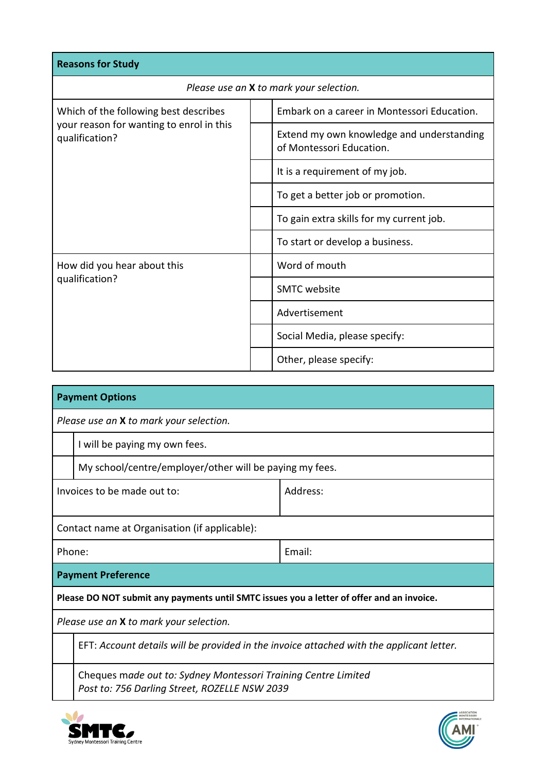| <b>Reasons for Study</b>                                                                            |  |                                                                       |  |  |
|-----------------------------------------------------------------------------------------------------|--|-----------------------------------------------------------------------|--|--|
| Please use an X to mark your selection.                                                             |  |                                                                       |  |  |
| Which of the following best describes<br>your reason for wanting to enrol in this<br>qualification? |  | Embark on a career in Montessori Education.                           |  |  |
|                                                                                                     |  | Extend my own knowledge and understanding<br>of Montessori Education. |  |  |
|                                                                                                     |  | It is a requirement of my job.                                        |  |  |
|                                                                                                     |  | To get a better job or promotion.                                     |  |  |
|                                                                                                     |  | To gain extra skills for my current job.                              |  |  |
|                                                                                                     |  | To start or develop a business.                                       |  |  |
| How did you hear about this                                                                         |  | Word of mouth                                                         |  |  |
| qualification?                                                                                      |  | <b>SMTC</b> website                                                   |  |  |
|                                                                                                     |  | Advertisement                                                         |  |  |
|                                                                                                     |  | Social Media, please specify:                                         |  |  |
|                                                                                                     |  | Other, please specify:                                                |  |  |

| <b>Payment Options</b>                                                                    |                                                                                                                 |        |  |  |  |
|-------------------------------------------------------------------------------------------|-----------------------------------------------------------------------------------------------------------------|--------|--|--|--|
|                                                                                           | Please use an X to mark your selection.                                                                         |        |  |  |  |
|                                                                                           | I will be paying my own fees.                                                                                   |        |  |  |  |
|                                                                                           | My school/centre/employer/other will be paying my fees.                                                         |        |  |  |  |
|                                                                                           | Invoices to be made out to:<br>Address:                                                                         |        |  |  |  |
|                                                                                           | Contact name at Organisation (if applicable):                                                                   |        |  |  |  |
| Phone:                                                                                    |                                                                                                                 | Email: |  |  |  |
|                                                                                           | <b>Payment Preference</b>                                                                                       |        |  |  |  |
| Please DO NOT submit any payments until SMTC issues you a letter of offer and an invoice. |                                                                                                                 |        |  |  |  |
| Please use an X to mark your selection.                                                   |                                                                                                                 |        |  |  |  |
|                                                                                           | EFT: Account details will be provided in the invoice attached with the applicant letter.                        |        |  |  |  |
|                                                                                           | Cheques made out to: Sydney Montessori Training Centre Limited<br>Post to: 756 Darling Street, ROZELLE NSW 2039 |        |  |  |  |



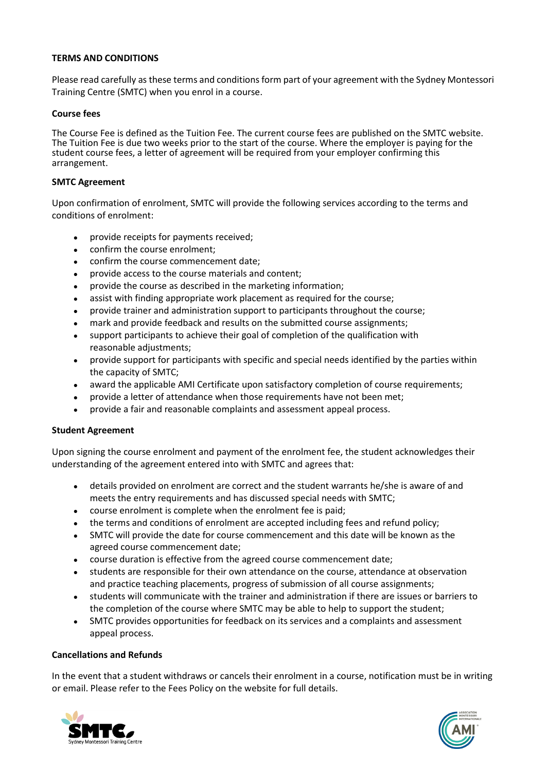# **TERMS AND CONDITIONS**

Please read carefully as these terms and conditions form part of your agreement with the Sydney Montessori Training Centre (SMTC) when you enrol in a course.

# **Course fees**

The Course Fee is defined as the Tuition Fee. The current course fees are published on the SMTC website. The Tuition Fee is due two weeks prior to the start of the course. Where the employer is paying for the student course fees, a letter of agreement will be required from your employer confirming this arrangement.

#### **SMTC Agreement**

Upon confirmation of enrolment, SMTC will provide the following services according to the terms and conditions of enrolment:

- provide receipts for payments received;
- confirm the course enrolment;
- confirm the course commencement date;
- provide access to the course materials and content;
- provide the course as described in the marketing information;
- assist with finding appropriate work placement as required for the course;
- provide trainer and administration support to participants throughout the course;
- mark and provide feedback and results on the submitted course assignments;
- support participants to achieve their goal of completion of the qualification with reasonable adjustments;
- provide support for participants with specific and special needs identified by the parties within the capacity of SMTC;
- award the applicable AMI Certificate upon satisfactory completion of course requirements;
- provide a letter of attendance when those requirements have not been met;
- provide a fair and reasonable complaints and assessment appeal process.

# **Student Agreement**

Upon signing the course enrolment and payment of the enrolment fee, the student acknowledges their understanding of the agreement entered into with SMTC and agrees that:

- details provided on enrolment are correct and the student warrants he/she is aware of and meets the entry requirements and has discussed special needs with SMTC;
- course enrolment is complete when the enrolment fee is paid;
- the terms and conditions of enrolment are accepted including fees and refund policy;
- SMTC will provide the date for course commencement and this date will be known as the agreed course commencement date;
- course duration is effective from the agreed course commencement date;
- students are responsible for their own attendance on the course, attendance at observation and practice teaching placements, progress of submission of all course assignments;
- students will communicate with the trainer and administration if there are issues or barriers to the completion of the course where SMTC may be able to help to support the student;
- SMTC provides opportunities for feedback on its services and a complaints and assessment appeal process.

# **Cancellations and Refunds**

In the event that a student withdraws or cancels their enrolment in a course, notification must be in writing or email. Please refer to the Fees Policy on the website for full details.